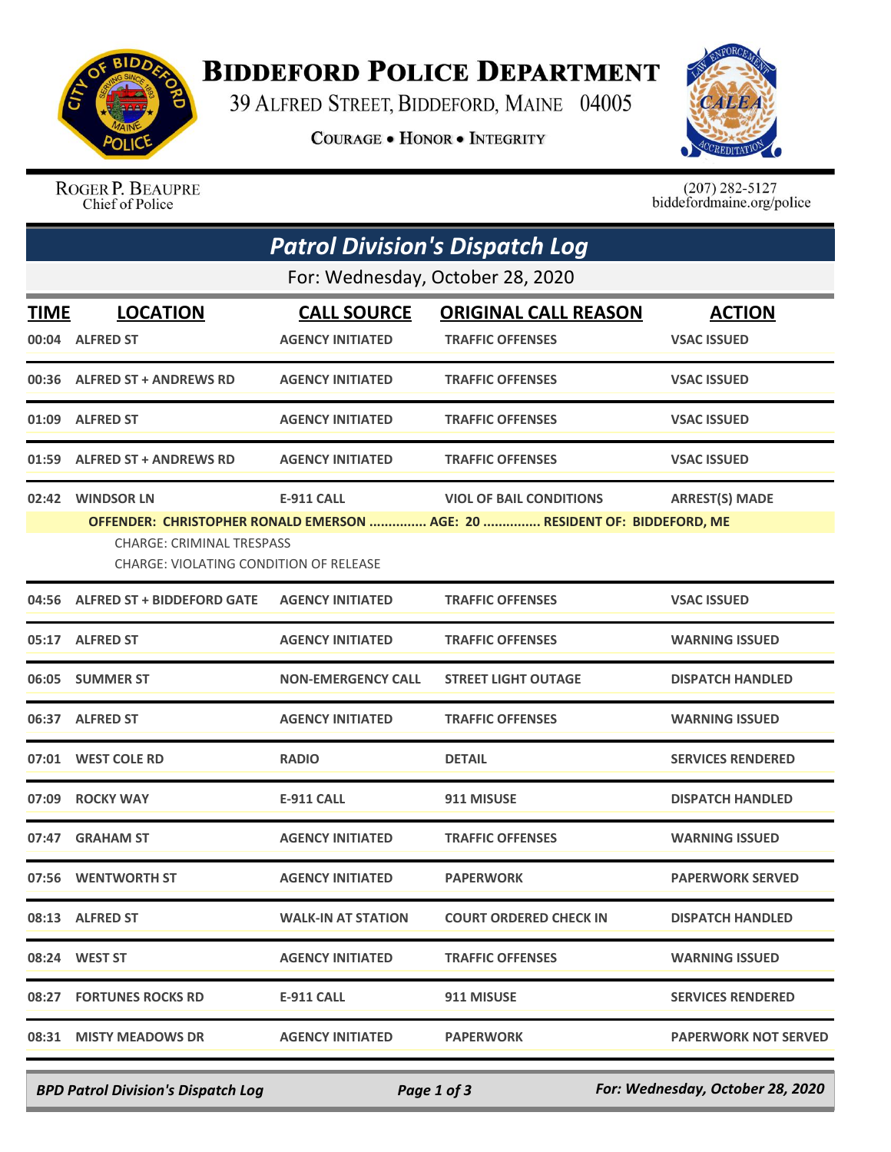

## **BIDDEFORD POLICE DEPARTMENT**

39 ALFRED STREET, BIDDEFORD, MAINE 04005

**COURAGE . HONOR . INTEGRITY** 



ROGER P. BEAUPRE Chief of Police

 $(207)$  282-5127 biddefordmaine.org/police

| <b>Patrol Division's Dispatch Log</b> |                                                                                                                                                         |                           |                                |                             |  |  |  |
|---------------------------------------|---------------------------------------------------------------------------------------------------------------------------------------------------------|---------------------------|--------------------------------|-----------------------------|--|--|--|
| For: Wednesday, October 28, 2020      |                                                                                                                                                         |                           |                                |                             |  |  |  |
| <b>TIME</b>                           | <b>LOCATION</b>                                                                                                                                         | <b>CALL SOURCE</b>        | <b>ORIGINAL CALL REASON</b>    | <b>ACTION</b>               |  |  |  |
|                                       | 00:04 ALFRED ST                                                                                                                                         | <b>AGENCY INITIATED</b>   | <b>TRAFFIC OFFENSES</b>        | <b>VSAC ISSUED</b>          |  |  |  |
|                                       | 00:36 ALFRED ST + ANDREWS RD                                                                                                                            | <b>AGENCY INITIATED</b>   | <b>TRAFFIC OFFENSES</b>        | <b>VSAC ISSUED</b>          |  |  |  |
|                                       | 01:09 ALFRED ST                                                                                                                                         | <b>AGENCY INITIATED</b>   | <b>TRAFFIC OFFENSES</b>        | <b>VSAC ISSUED</b>          |  |  |  |
|                                       | 01:59 ALFRED ST + ANDREWS RD                                                                                                                            | <b>AGENCY INITIATED</b>   | <b>TRAFFIC OFFENSES</b>        | <b>VSAC ISSUED</b>          |  |  |  |
|                                       | 02:42 WINDSOR LN                                                                                                                                        | <b>E-911 CALL</b>         | <b>VIOL OF BAIL CONDITIONS</b> | <b>ARREST(S) MADE</b>       |  |  |  |
|                                       | OFFENDER: CHRISTOPHER RONALD EMERSON  AGE: 20  RESIDENT OF: BIDDEFORD, ME<br><b>CHARGE: CRIMINAL TRESPASS</b><br>CHARGE: VIOLATING CONDITION OF RELEASE |                           |                                |                             |  |  |  |
|                                       | 04:56 ALFRED ST + BIDDEFORD GATE                                                                                                                        | <b>AGENCY INITIATED</b>   | <b>TRAFFIC OFFENSES</b>        | <b>VSAC ISSUED</b>          |  |  |  |
|                                       | 05:17 ALFRED ST                                                                                                                                         | <b>AGENCY INITIATED</b>   | <b>TRAFFIC OFFENSES</b>        | <b>WARNING ISSUED</b>       |  |  |  |
|                                       | 06:05 SUMMER ST                                                                                                                                         | <b>NON-EMERGENCY CALL</b> | <b>STREET LIGHT OUTAGE</b>     | <b>DISPATCH HANDLED</b>     |  |  |  |
|                                       | 06:37 ALFRED ST                                                                                                                                         | <b>AGENCY INITIATED</b>   | <b>TRAFFIC OFFENSES</b>        | <b>WARNING ISSUED</b>       |  |  |  |
|                                       | 07:01 WEST COLE RD                                                                                                                                      | <b>RADIO</b>              | <b>DETAIL</b>                  | <b>SERVICES RENDERED</b>    |  |  |  |
|                                       | 07:09 ROCKY WAY                                                                                                                                         | <b>E-911 CALL</b>         | 911 MISUSE                     | <b>DISPATCH HANDLED</b>     |  |  |  |
|                                       | 07:47 GRAHAM ST                                                                                                                                         | <b>AGENCY INITIATED</b>   | <b>TRAFFIC OFFENSES</b>        | <b>WARNING ISSUED</b>       |  |  |  |
|                                       | 07:56 WENTWORTH ST                                                                                                                                      | <b>AGENCY INITIATED</b>   | <b>PAPERWORK</b>               | <b>PAPERWORK SERVED</b>     |  |  |  |
|                                       | 08:13 ALFRED ST                                                                                                                                         | <b>WALK-IN AT STATION</b> | <b>COURT ORDERED CHECK IN</b>  | <b>DISPATCH HANDLED</b>     |  |  |  |
|                                       | 08:24 WEST ST                                                                                                                                           | <b>AGENCY INITIATED</b>   | <b>TRAFFIC OFFENSES</b>        | <b>WARNING ISSUED</b>       |  |  |  |
|                                       | 08:27 FORTUNES ROCKS RD                                                                                                                                 | E-911 CALL                | 911 MISUSE                     | <b>SERVICES RENDERED</b>    |  |  |  |
|                                       | 08:31 MISTY MEADOWS DR                                                                                                                                  | <b>AGENCY INITIATED</b>   | <b>PAPERWORK</b>               | <b>PAPERWORK NOT SERVED</b> |  |  |  |

*BPD Patrol Division's Dispatch Log Page 1 of 3 For: Wednesday, October 28, 2020*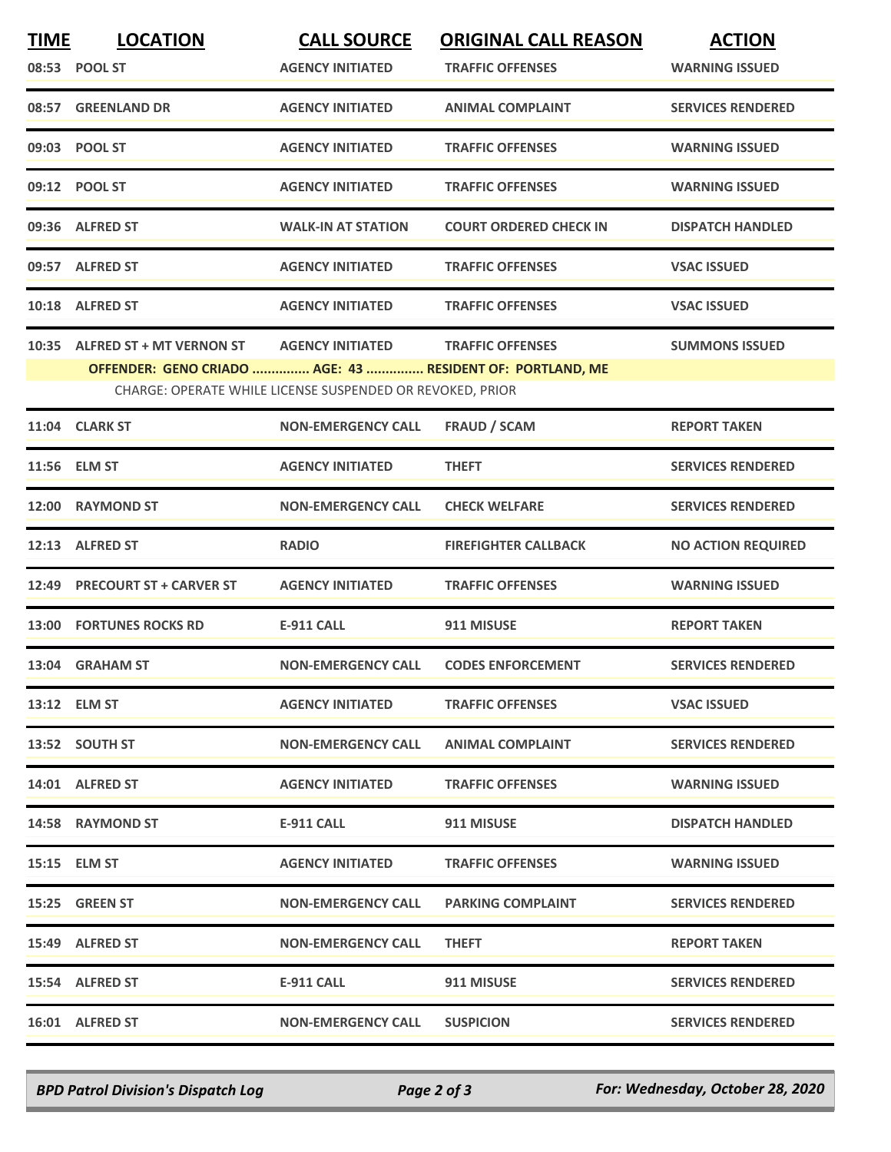| <b>TIME</b>                                               | <b>LOCATION</b>                                           | <b>CALL SOURCE</b>        | <b>ORIGINAL CALL REASON</b>   | <b>ACTION</b>             |  |  |  |
|-----------------------------------------------------------|-----------------------------------------------------------|---------------------------|-------------------------------|---------------------------|--|--|--|
|                                                           | 08:53 POOL ST                                             | <b>AGENCY INITIATED</b>   | <b>TRAFFIC OFFENSES</b>       | <b>WARNING ISSUED</b>     |  |  |  |
|                                                           | 08:57 GREENLAND DR                                        | <b>AGENCY INITIATED</b>   | <b>ANIMAL COMPLAINT</b>       | <b>SERVICES RENDERED</b>  |  |  |  |
|                                                           | 09:03 POOL ST                                             | <b>AGENCY INITIATED</b>   | <b>TRAFFIC OFFENSES</b>       | <b>WARNING ISSUED</b>     |  |  |  |
|                                                           | 09:12 POOL ST                                             | <b>AGENCY INITIATED</b>   | <b>TRAFFIC OFFENSES</b>       | <b>WARNING ISSUED</b>     |  |  |  |
|                                                           | 09:36 ALFRED ST                                           | <b>WALK-IN AT STATION</b> | <b>COURT ORDERED CHECK IN</b> | <b>DISPATCH HANDLED</b>   |  |  |  |
|                                                           | 09:57 ALFRED ST                                           | <b>AGENCY INITIATED</b>   | <b>TRAFFIC OFFENSES</b>       | <b>VSAC ISSUED</b>        |  |  |  |
|                                                           | 10:18 ALFRED ST                                           | <b>AGENCY INITIATED</b>   | <b>TRAFFIC OFFENSES</b>       | <b>VSAC ISSUED</b>        |  |  |  |
|                                                           | 10:35 ALFRED ST + MT VERNON ST                            | <b>AGENCY INITIATED</b>   | <b>TRAFFIC OFFENSES</b>       | <b>SUMMONS ISSUED</b>     |  |  |  |
|                                                           | OFFENDER: GENO CRIADO  AGE: 43  RESIDENT OF: PORTLAND, ME |                           |                               |                           |  |  |  |
| CHARGE: OPERATE WHILE LICENSE SUSPENDED OR REVOKED, PRIOR |                                                           |                           |                               |                           |  |  |  |
|                                                           | 11:04 CLARK ST                                            | <b>NON-EMERGENCY CALL</b> | <b>FRAUD / SCAM</b>           | <b>REPORT TAKEN</b>       |  |  |  |
| 11:56                                                     | <b>ELM ST</b>                                             | <b>AGENCY INITIATED</b>   | <b>THEFT</b>                  | <b>SERVICES RENDERED</b>  |  |  |  |
|                                                           | 12:00 RAYMOND ST                                          | <b>NON-EMERGENCY CALL</b> | <b>CHECK WELFARE</b>          | <b>SERVICES RENDERED</b>  |  |  |  |
|                                                           | 12:13 ALFRED ST                                           | <b>RADIO</b>              | <b>FIREFIGHTER CALLBACK</b>   | <b>NO ACTION REQUIRED</b> |  |  |  |
|                                                           | 12:49 PRECOURT ST + CARVER ST                             | <b>AGENCY INITIATED</b>   | <b>TRAFFIC OFFENSES</b>       | <b>WARNING ISSUED</b>     |  |  |  |
|                                                           | 13:00 FORTUNES ROCKS RD                                   | <b>E-911 CALL</b>         | 911 MISUSE                    | <b>REPORT TAKEN</b>       |  |  |  |
|                                                           | 13:04 GRAHAM ST                                           | <b>NON-EMERGENCY CALL</b> | <b>CODES ENFORCEMENT</b>      | <b>SERVICES RENDERED</b>  |  |  |  |
|                                                           | 13:12 ELM ST                                              | <b>AGENCY INITIATED</b>   | <b>TRAFFIC OFFENSES</b>       | <b>VSAC ISSUED</b>        |  |  |  |
|                                                           | 13:52 SOUTH ST                                            | <b>NON-EMERGENCY CALL</b> | ANIMAL COMPLAINT              | <b>SERVICES RENDERED</b>  |  |  |  |
|                                                           | 14:01 ALFRED ST                                           | <b>AGENCY INITIATED</b>   | <b>TRAFFIC OFFENSES</b>       | <b>WARNING ISSUED</b>     |  |  |  |
|                                                           | 14:58 RAYMOND ST                                          | E-911 CALL                | 911 MISUSE                    | <b>DISPATCH HANDLED</b>   |  |  |  |
|                                                           | 15:15 ELM ST                                              | <b>AGENCY INITIATED</b>   | <b>TRAFFIC OFFENSES</b>       | <b>WARNING ISSUED</b>     |  |  |  |
|                                                           | 15:25 GREEN ST                                            | <b>NON-EMERGENCY CALL</b> | <b>PARKING COMPLAINT</b>      | <b>SERVICES RENDERED</b>  |  |  |  |
|                                                           | 15:49 ALFRED ST                                           | <b>NON-EMERGENCY CALL</b> | <b>THEFT</b>                  | <b>REPORT TAKEN</b>       |  |  |  |
|                                                           | 15:54 ALFRED ST                                           | <b>E-911 CALL</b>         | 911 MISUSE                    | <b>SERVICES RENDERED</b>  |  |  |  |
|                                                           | 16:01 ALFRED ST                                           | <b>NON-EMERGENCY CALL</b> | <b>SUSPICION</b>              | <b>SERVICES RENDERED</b>  |  |  |  |
|                                                           |                                                           |                           |                               |                           |  |  |  |

*BPD Patrol Division's Dispatch Log Page 2 of 3 For: Wednesday, October 28, 2020*